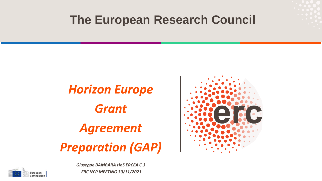## **The European Research Council**

# *Horizon Europe Grant Agreement Preparation (GAP)*





*Giuseppe BAMBARA HoS ERCEA C.3 ERC NCP MEETING 30/11/2021*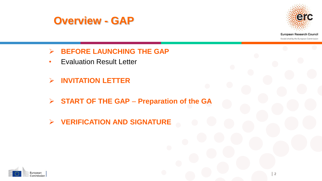



- **BEFORE LAUNCHING THE GAP**
- Evaluation Result Letter
- **INVITATION LETTER**
- **START OF THE GAP Preparation of the GA**
- **VERIFICATION AND SIGNATURE**

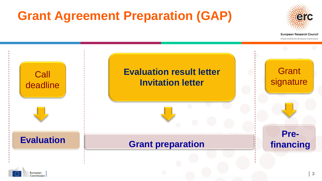# **Grant Agreement Preparation (GAP)**

Commission



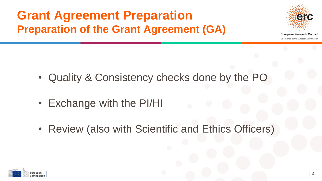## **Grant Agreement Preparation Preparation of the Grant Agreement (GA)**



- Quality & Consistency checks done by the PO
- Exchange with the PI/HI
- Review (also with Scientific and Ethics Officers)

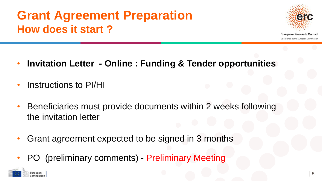# **Grant Agreement Preparation How does it start ?**



- **Invitation Letter - Online : Funding & Tender opportunities**
- Instructions to PI/HI
- Beneficiaries must provide documents within 2 weeks following the invitation letter
- Grant agreement expected to be signed in 3 months
- PO (preliminary comments) Preliminary Meeting

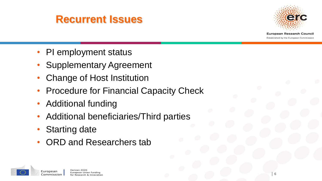#### **Recurrent Issues**



- PI employment status
- Supplementary Agreement
- Change of Host Institution
- Procedure for Financial Capacity Check
- Additional funding
- Additional beneficiaries/Third parties
- **Starting date**
- ORD and Researchers tab

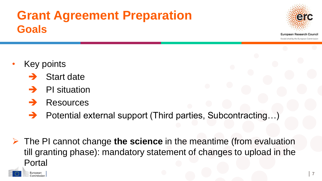## **Grant Agreement Preparation Goals**



**European Research Council** Established by the European Commission

Key points

European Commission

- Start date
- PI situation
- Resources
- Potential external support (Third parties, Subcontracting…)
- The PI cannot change **the science** in the meantime (from evaluation till granting phase): mandatory statement of changes to upload in the Portal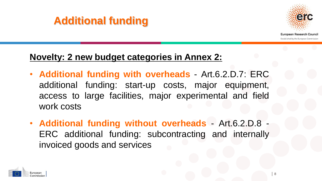#### **Additional funding**



Established by the European Commission

#### **Novelty: 2 new budget categories in Annex 2:**

- **Additional funding with overheads** Art.6.2.D.7: ERC additional funding: start-up costs, major equipment, access to large facilities, major experimental and field work costs
- **Additional funding without overheads** Art.6.2.D.8 ERC additional funding: subcontracting and internally invoiced goods and services

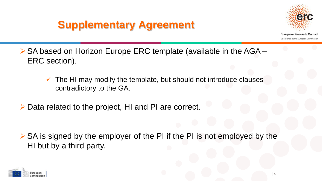### **Supplementary Agreement**



**European Research Council** Established by the European Commission

- ▶ SA based on Horizon Europe ERC template (available in the AGA ERC section).
	- $\checkmark$  The HI may modify the template, but should not introduce clauses contradictory to the GA.
- Data related to the project, HI and PI are correct.

 $\triangleright$  SA is signed by the employer of the PI if the PI is not employed by the HI but by a third party.

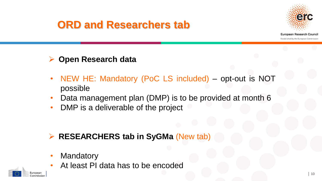#### **ORD and Researchers tab**



**European Research Council** Established by the European Commission

#### **Open Research data**

- NEW HE: Mandatory (PoC LS included) opt-out is NOT possible
- Data management plan (DMP) is to be provided at month 6
- DMP is a deliverable of the project

#### **RESEARCHERS tab in SyGMa** (New tab)

- **Mandatory**
- At least PI data has to be encoded

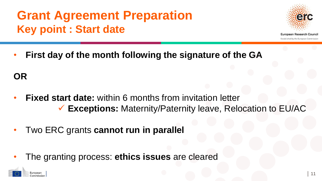# **Grant Agreement Preparation Key point : Start date**



**European Research Council** Established by the European Commission

• **First day of the month following the signature of the GA**

**OR**

- **Fixed start date:** within 6 months from invitation letter **Exceptions:** Maternity/Paternity leave, Relocation to EU/AC
- Two ERC grants **cannot run in parallel**
- The granting process: **ethics issues** are cleared

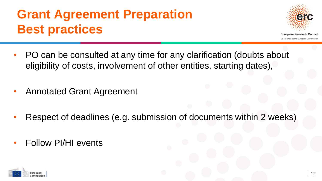# **Grant Agreement Preparation Best practices**



- **European Research Council** Established by the European Commission
- PO can be consulted at any time for any clarification (doubts about eligibility of costs, involvement of other entities, starting dates),
- Annotated Grant Agreement
- Respect of deadlines (e.g. submission of documents within 2 weeks)
- Follow PI/HI events

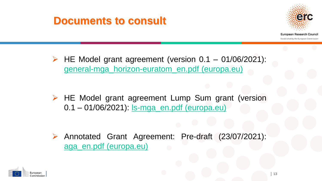#### **Documents to consult**



**European Research Council** Established by the European Commission

 $\triangleright$  HE Model grant agreement (version 0.1 – 01/06/2021): [general-mga\\_horizon-euratom\\_en.pdf](https://ec.europa.eu/info/funding-tenders/opportunities/docs/2021-2027/common/agr-contr/general-mga_horizon-euratom_en.pdf) (europa.eu)

 $\triangleright$  HE Model grant agreement Lump Sum grant (version 0.1 – 01/06/2021): <u>Is-mga\_en.pdf (europa.eu)</u>

 Annotated Grant Agreement: Pre-draft (23/07/2021): aga\_en.pdf [\(europa.eu\)](https://ec.europa.eu/info/funding-tenders/opportunities/docs/2021-2027/common/guidance/aga_en.pdf)